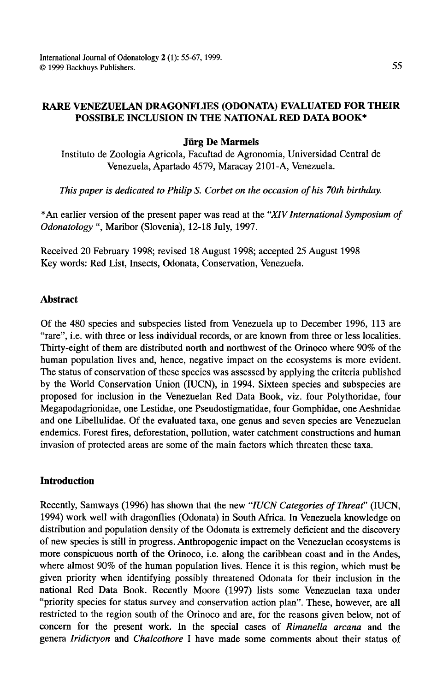# RARE VENEZUELAN DRAGONFLIES (ODONATA) EVALUATED FOR THEIR POSSIBLE INCLUSION IN THE NATIONAL RED DATA BOOK\*

### Jiirg De Marmels

Instituto de Zoologia Agricola, Facultad de Agronomia, Universidad Central de Venezuela, Apartado 4579, Maracay 2101-A, Venezuela.

*This paper is dedicated to Philip S. Corbet on the occasion of his 70th birthday.* 

\*An earlier version of the present paper was read at the *"XIV International Symposium of Odonatology* ", Maribor (Slovenia), 12-18 July, 1997.

Received 20 February 1998; revised 18 August 1998; accepted 25 August 1998 Key words: Red List, Insects, Odonata, Conservation, Venezuela.

# Abstract

Of the 480 species and subspecies listed from Venezuela up to December 1996, 113 are "rare", i.e. with three or less individual records, or are known from three or less localities. Thirty-eight of them are distributed north and northwest of the Orinoco where 90% of the human population lives and, hence, negative impact on the ecosystems is more evident. The status of conservation of these species was assessed by applying the criteria published by the World Conservation Union (IUCN), in 1994. Sixteen species and subspecies are proposed for inclusion in the Venezuelan Red Data Book, viz. four Polythoridae, four Megapodagrionidae, one Lestidae, one Pseudostigmatidae, four Gomphidae, one Aeshnidae and one Libellulidae. Of the evaluated taxa, one genus and seven species are Venezuelan endemics. Forest fires, deforestation, pollution, water catchment constructions and human invasion of protected areas are some of the main factors which threaten these taxa.

# **Introduction**

Recently, Samways (1996) has shown that the new *"IUCN Categories of Threat"* (IUCN, 1994) work well with dragonflies (Odonata) in South Mrica. In Venezuela knowledge on distribution and population density of the Odonata is extremely deficient and the discovery of new species is still in progress. Anthropogenic impact on the Venezuelan ecosystems is more conspicuous north of the Orinoco, i.e. along the caribbean coast and in the Andes, where almost 90% of the human population lives. Hence it is this region, which must be given priority when identifying possibly threatened Odonata for their inclusion in the national Red Data Book. Recently Moore (1997) lists some Venezuelan taxa under "priority species for status survey and conservation action plan". These, however, are all restricted to the region south of the Orinoco and are, for the reasons given below, not of concern for the present work. In the special cases of *Rimanella arcana* and the genera *Iridictyon* and *Chalcothore* I have made some comments about their status of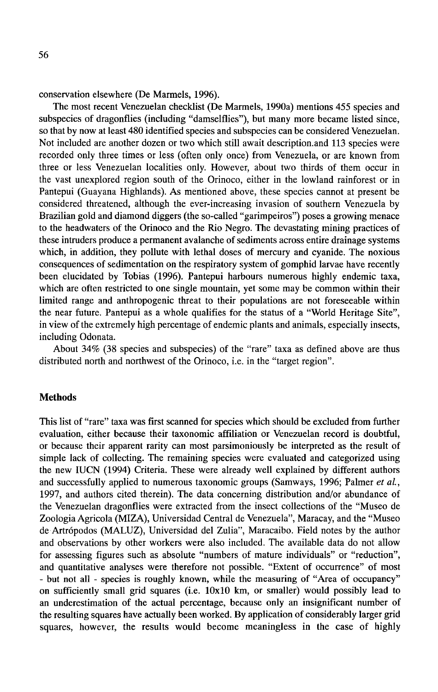conservation elsewhere (De Marmels, 1996).

The most recent Venezuelan checklist (De Marmels, 1990a) mentions 455 species and subspecies of dragonflies (including "damselflies"), but many more became listed since, so that by now at least 480 identified species and subspecies can be considered Venezuelan. Not included are another dozen or two which still await description.and 113 species were recorded only three times or less (often only once) from Venezuela, or are known from three or less Venezuelan localities only. However, about two thirds of them occur in the vast unexplored region south of the Orinoco, either in the lowland rainforest or in Pantepui (Guayana Highlands). As mentioned above, these species cannot at present be considered threatened, although the ever-increasing invasion of southern Venezuela by Brazilian gold and diamond diggers (the so-called "garimpeiros") poses a growing menace to the headwaters of the Orinoco and the Rio Negro. The devastating mining practices of these intruders produce a permanent avalanche of sediments across entire drainage systems which, in addition, they pollute with lethal doses of mercury and cyanide. The noxious consequences of sedimentation on the respiratory system of gomphid larvae have recently been elucidated by Tobias (1996). Pantepui harbours numerous highly endemic taxa, which are often restricted to one single mountain, yet some may be common within their limited range and anthropogenic threat to their populations are not foreseeable within the near future. Pantepui as a whole qualifies for the status of a "World Heritage Site", in view of the extremely high percentage of endemic plants and animals, especially insects, including Odonata.

About 34% (38 species and subspecies) of the "rare" taxa as defined above are thus distributed north and northwest of the Orinoco, i.e. in the "target region".

#### **Methods**

This list of "rare" taxa was first scanned for species which should be excluded from further evaluation, either because their taxonomic affiliation or Venezuelan record is doubtful, or because their apparent rarity can most parsimoniously be interpreted as the result of simple lack of collecting. The remaining species were evaluated and categorized using the new IUCN (1994) Criteria. These were already well explained by different authors and successfully applied to numerous taxonomic groups (Samways, 1996; Palmer *et al.,*  1997, and authors cited therein). The data concerning distribution and/or abundance of the Venezuelan dragonflies were extracted from the insect collections of the "Museo de ZoologiaAgricola (MIZA), Universidad Central de Venezuela", Maracay, and the "Museo de Artrópodos (MALUZ), Universidad del Zulia", Maracaibo. Field notes by the author and observations by other workers were also included. The available data do not allow for assessing figures such as absolute "numbers of mature individuals" or "reduction", and quantitative analyses were therefore not possible. "Extent of occurrence" of most - but not all - species is roughly known, while the measuring of "Area of occupancy" on sufficiently small grid squares (i.e.  $10x10$  km, or smaller) would possibly lead to an underestimation of the actual percentage, because only an insignificant number of the resulting squares have actually been worked. By application of considerably larger grid squares, however, the results would become meaningless in the case of highly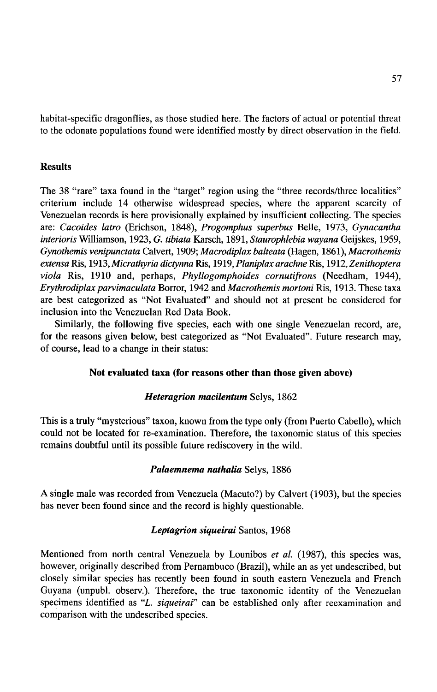habitat-specific dragonflies, as those studied here. The factors of actual or potential threat to the odonate populations found were identified mostly by direct observation in the field.

# **Results**

The 38 "rare" taxa found in the "target" region using the "three records/three localities" criterium include 14 otherwise widespread species, where the apparent scarcity of Venezuelan records is here provisionally explained by insufficient collecting. The species are: *Cacoides latro* (Erichson, 1848), *Progomphus superbus* Belle, 1973, *Gynacantha interioris* Williamson, 1923, *G. tibiata* Karsch, 1891, *Staurophlebia wayana* Geijskes, 1959, *Gynothemis venipunctata* Calvert, 1909; *Macrodiplax balteata* (Hagen, 1861), *Macrothemis extensa* Ris, 1913, *Micrathyria dictynna* Ris, 1919, *Planiplax arachne* Ris, 1912, *Zenithoptera viola* Ris, 1910 and, perhaps, *Phyllogomphoides cornutifrons* (Needham, 1944), *Erythrodiplax parvimaculata* Borror, 1942 and *Macrothemis mortoni* Ris, 1913. These taxa are best categorized as "Not Evaluated" and should not at present be considered for inclusion into the Venezuelan Red Data Book.

Similarly, the following five species, each with one single Venezuelan record, are, for the reasons given below, best categorized as "Not Evaluated". Future research may, of course, lead to a change in their status:

### Not evaluated taxa (for reasons other than those given above)

#### *Heteragrion macilentum* Selys, 1862

This is a truly "mysterious" taxon, known from the type only (from Puerto Cabello), which could not be located for re-examination. Therefore, the taxonomic status of this species remains doubtful until its possible future rediscovery in the wild.

#### *Palaemnema nathalia* Selys, 1886

A single male was recorded from Venezuela (Macuto?) by Calvert (1903), but the species has never been found since and the record is highly questionable.

#### *Leptagrion siqueirai* Santos, 1968

Mentioned from north central Venezuela by Lounibos *et al.* (1987), this species was, however, originally described from Pernambuco (Brazil), while an as yet undescribed, but closely similar species has recently been found in south eastern Venezuela and French Guyana (unpubl. observ.). Therefore, the true taxonomic identity of the Venezuelan specimens identified as "L. *siqueirai"* can be established only after reexamination and comparison with the undescribed species.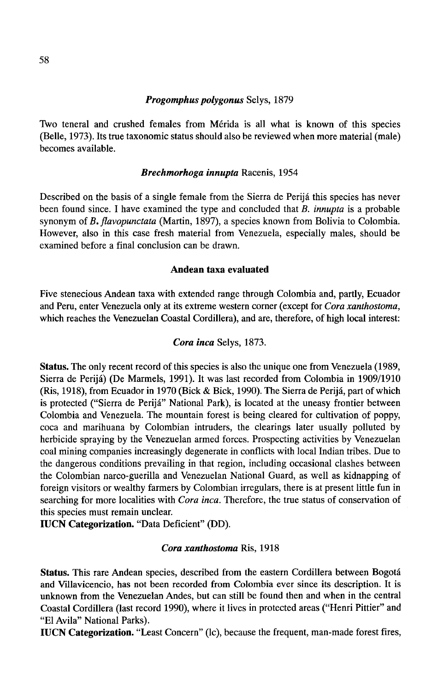#### *Progomphus polygonus* Selys, 1879

Two teneral and crushed females from Merida is all what is known of this species (Belle, 1973). Its true taxonomic status should also be reviewed when more material (male) becomes available.

#### *Brechmorhoga innupta* Racenis, 1954

Described on the basis of a single female from the Sierra de Perija this species has never been found since. I have examined the type and concluded that *B. innupta* is a probable synonym of *B. flavopunctata* (Martin, 1897), a species known from Bolivia to Colombia. However, also in this case fresh material from Venezuela, especially males, should be examined before a final conclusion can be drawn.

### Andean taxa evaluated

Five stenecious Andean taxa with extended range through Colombia and, partly, Ecuador and Peru, enter Venezuela only at its extreme western comer (except for *Cora xanthostoma,*  which reaches the Venezuelan Coastal Cordillera), and are, therefore, of high local interest:

#### *Cora inca* Selys, 1873.

Status. The only recent record of this species is also the unique one from Venezuela (1989, Sierra de Perija) (De Marmels, 1991). It was last recorded from Colombia in 1909/1910 (Ris, 1918), from Ecuador in 1970 (Bick & Bick, 1990). The Sierra de Perija, part of which is protected ("Sierra de Perija" National Park), is located at the uneasy frontier between Colombia and Venezuela. The mountain forest is being cleared for cultivation of poppy, coca and marihuana by Colombian intruders, the clearings later usually polluted by herbicide spraying by the Venezuelan armed forces. Prospecting activities by Venezuelan coal mining companies increasingly degenerate in conflicts with local Indian tribes. Due to the dangerous conditions prevailing in that region, including occasional clashes between the Colombian narco-guerilla and Venezuelan National Guard, as well as kidnapping of foreign visitors or wealthy farmers by Colombian irregulars, there is at present little fun in searching for more localities with *Cora inca.* Therefore, the true status of conservation of this species must remain unclear.

IUCN Categorization. "Data Deficient" (DD).

### *Cora xanthostoma* Ris, 1918

Status. This rare Andean species, described from the eastern Cordillera between Bogota and Villavicencio, has not been recorded from Colombia ever since its description. It is unknown from the Venezuelan Andes, but can still be found then and when in the central Coastal Cordillera (last record 1990), where it lives in protected areas ("Henri Pittier" and "El Avila" National Parks).

IUCN Categorization. "Least Concern" (lc), because the frequent, man-made forest fires,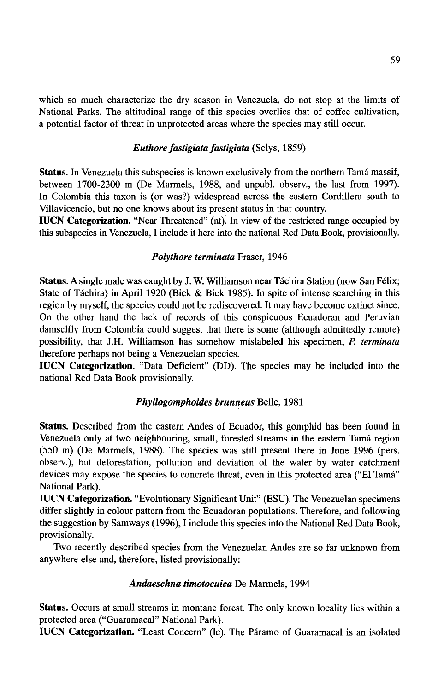which so much characterize the dry season in Venezuela, do not stop at the limits of National Parks. The altitudinal range of this species overlies that of coffee cultivation, a potential factor of threat in unprotected areas where the species may still occur.

# *Euthore fastigiata fastigiata* (Selys, 1859)

Status. In Venezuela this subspecies is known exclusively from the northern Tamá massif, between 1700-2300 m (De Marmels, 1988, and unpubl. observ., the last from 1997). In Colombia this taxon is (or was?) widespread across the eastern Cordillera south to Villavicencio, but no one knows about its present status in that country.

IUCN Categorization. "Near Threatened" (nt). In view of the restricted range occupied by this subspecies in Venezuela, I include it here into the national Red Data Book, provisionally.

# *Polythore terminata* Fraser, 1946

Status. A single male was caught by J. W. Williamson near Táchira Station (now San Félix; State of Táchira) in April 1920 (Bick & Bick 1985). In spite of intense searching in this region by myself, the species could not be rediscovered. It may have become extinct since. On the other hand the lack of records of this conspicuous Ecuadoran and Peruvian damselfly from Colombia could suggest that there is some (although admittedly remote) possibility, that J.H. Williamson has somehow mislabeled his specimen, *P. terminata*  therefore perhaps not being a Venezuelan species.

IUCN Categorization. "Data Deficient" (DD). The species may be included into the national Red Data Book provisionally.

### *Phyllogomphoides brunneus* Belle, 1981

Status. Described from the eastern Andes of Ecuador, this gomphid has been found in Venezuela only at two neighbouring, small, forested streams in the eastern Tama region (550 m) (De Marmels, 1988). The species was still present there in June 1996 (pers. observ.), but deforestation, pollution and deviation of the water by water catchment devices may expose the species to concrete threat, even in this protected area ("El Tama" National Park).

IUCN Categorization. "Evolutionary Significant Unit" (ESU). The Venezuelan specimens differ slightly in colour pattern from the Ecuadoran populations. Therefore, and following the suggestion by Samways (1996), I include this species into the National Red Data Book, provisionally.

Two recently described species from the Venezuelan Andes are so far unknown from anywhere else and, therefore, listed provisionally:

### *Andaeschna timotocuica* De Marmels, 1994

Status. Occurs at small streams in montane forest. The only known locality lies within a protected area ("Guaramacal" National Park).

IUCN Categorization. "Least Concern" (lc). The Páramo of Guaramacal is an isolated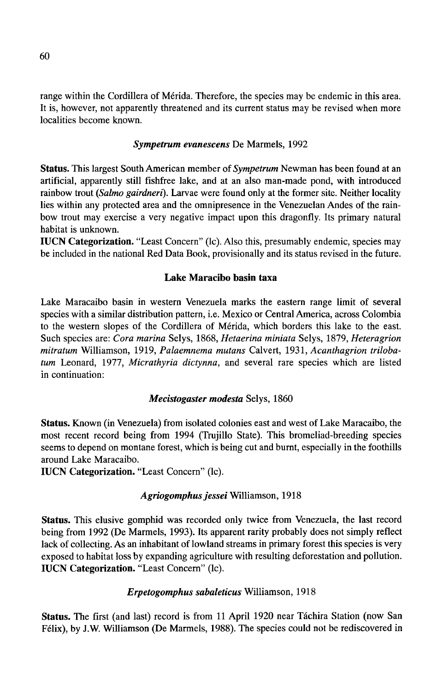range within the Cordillera of Merida. Therefore, the species may be endemic in this area. It is, however, not apparently threatened and its current status may be revised when more localities become known.

# *Sympetrum evanescens* De Marmels, 1992

Status. This largest South American member of *Sympetrum* Newman has been found at an artificial, apparently still fishfree lake, and at an also man-made pond, with introduced rainbow trout *(Salmo gairdneri).* Larvae were found only at the former site. Neither locality lies within any protected area and the omnipresence in the Venezuelan Andes of the rainbow trout may exercise a very negative impact upon this dragonfly. Its primary natural habitat is unknown.

IUCN Categorization. "Least Concern" (lc). Also this, presumably endemic, species may be included in the national Red Data Book, provisionally and its status revised in the future.

# Lake Maracibo basin taxa

Lake Maracaibo basin in western Venezuela marks the eastern range limit of several species with a similar distribution pattern, i.e. Mexico or Central America, across Colombia to the western slopes of the Cordillera of Merida, which borders this lake to the east. Such species are: *Cora marina* Selys, 1868, *Hetaerina miniata* Selys, 1879, *Heteragrion mitratum* Williamson, 1919, *Palaemnema mutans* Calvert, 1931, *Acanthagrion trilobatum* Leonard, 1977, *Micrathyria dictynna,* and several rare species which are listed in continuation:

# *Mecistogaster modesta* Selys, 1860

Status. Known (in Venezuela) from isolated colonies east and west of Lake Maracaibo, the most recent record being from 1994 (Trujillo State). This bromeliad-breeding species seems to depend on montane forest, which is being cut and burnt, especially in the foothills around Lake Maracaibo.

IUCN Categorization. "Least Concern" (lc).

# *Agriogomphusjessei* Williamson, 1918

Status. This elusive gomphid was recorded only twice from Venezuela, the last record being from 1992 (De Marmels, 1993). Its apparent rarity probably does not simply reflect lack of collecting. As an inhabitant of lowland streams in primary forest this species is very exposed to habitat loss by expanding agriculture with resulting deforestation and pollution. IUCN Categorization. "Least Concern" (lc).

# *Erpetogomphus sabaleticus* Williamson, 1918

Status. The first (and last) record is from 11 April 1920 near Tachira Station (now San Felix), by J.W. Williamson (De Marmels, 1988). The species could not be rediscovered in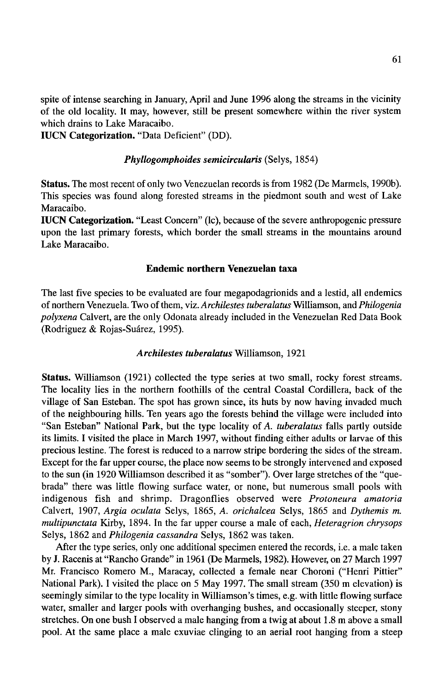spite of intense searching in January, April and June 1996 along the streams in the vicinity of the old locality. It may, however, still be present somewhere within the river system which drains to Lake Maracaibo.

IUCN **Categorization.** "Data Deficient" (DD).

# *Phyllogomphoides semicircularis* (Selys, 1854)

**Status.** The most recent of only two Venezuelan records is from 1982 (De Marmels, 1990b). This species was found along forested streams in the piedmont south and west of Lake Maracaibo.

**IUCN Categorization.** "Least Concern" (Ic), because of the severe anthropogenic pressure upon the last primary forests, which border the small streams in the mountains around Lake Maracaibo.

#### **Endemic northern Venezuelan taxa**

The last five species to be evaluated are four megapodagrionids and a lestid, all endemics of northern Venezuela. Two of them, viz. *Archilestes tuberalatus* Williamson, and *Philogenia polyxena* Calvert, are the only Odonata already included in the Venezuelan Red Data Book (Rodriguez & Rojas-Suárez, 1995).

### *Archilestes tuberalatus* Williamson, 1921

**Status.** Williamson (1921) collected the type series at two small, rocky forest streams. The locality lies in the northern foothills of the central Coastal Cordillera, back of the village of San Esteban. The spot has grown since, its huts by now having invaded much of the neighbouring hills. Ten years ago the forests behind the village were included into "San Esteban" National Park, but the type locality of *A. tuberalatus* falls partly outside its limits. I visited the place in March 1997, without finding either adults or larvae of this precious lestine. The forest is reduced to a narrow stripe bordering the sides of the stream. Except for the far upper course, the place now seems to be strongly intervened and exposed to the sun (in 1920 Williamson described it as "somber"). Over large stretches of the "quebrada" there was little flowing surface water, or none, but numerous small pools with indigenous fish and shrimp. Dragonflies observed were *Protoneura amatoria*  Calvert, 1907, *Argia oculata* Selys, 1865, *A. orichalcea* Selys, 1865 and *Dythemis m. multipunctata* Kirby, 1894. In the far upper course a male of each, *Heteragrion chrysops*  Selys, 1862 and *Philogenia cassandra* Selys, 1862 was taken.

After the type series, only one additional specimen entered the records, i.e. a male taken by **J.** Racenis at "Rancho Grande" in 1961 (De Marmels, 1982). However, on 27 March 1997 Mr. Francisco Romero M., Maracay, collected a female near Choroni ("Henri Pittier" National Park). I visited the place on 5 May 1997. The small stream (350 m elevation) is seemingly similar to the type locality in Williamson's times, e.g. with little flowing surface water, smaller and larger pools with overhanging bushes, and occasionally steeper, stony stretches. On one bush I observed a male hanging from a twig at about 1.8 m above a small pool. At the same place a male exuviae clinging to an aerial root hanging from a steep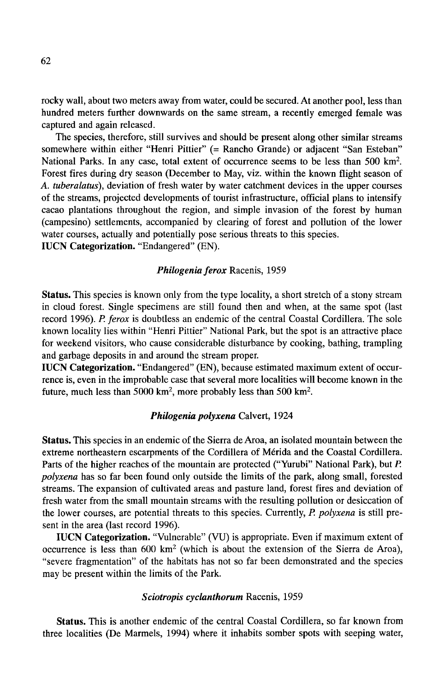rocky wall, about two meters away from water, could be secured. At another pool, less than hundred meters further downwards on the same stream, a recently emerged female was captured and again released.

The species, therefore, still survives and should be present along other similar streams somewhere within either "Henri Pittier" (= Rancho Grande) or adjacent "San Esteban" National Parks. In any case, total extent of occurrence seems to be less than 500 km<sup>2</sup>. Forest fires during dry season (December to May, viz. within the known flight season of *A. tuberalatus),* deviation of fresh water by water catchment devices in the upper courses of the streams, projected developments of tourist infrastructure, official plans to intensify cacao plantations throughout the region, and simple invasion of the forest by human ( campesino) settlements, accompanied by clearing of forest and pollution of the lower water courses, actually and potentially pose serious threats to this species. IUCN Categorization. "Endangered" (EN).

### *Philogenia ferox* Racenis, 1959

Status. This species is known only from the type locality, a short stretch of a stony stream in cloud forest. Single specimens are still found then and when, at the same spot (last record 1996). *P ferox* is doubtless an endemic of the central Coastal Cordillera. The sole known locality lies within "Henri Pittier" National Park, but the spot is an attractive place for weekend visitors, who cause considerable disturbance by cooking, bathing, trampling and garbage deposits in and around the stream proper.

IUCN Categorization. "Endangered" (EN), because estimated maximum extent of occurrence is, even in the improbable case that several more localities will become known in the future, much less than  $5000 \text{ km}^2$ , more probably less than  $500 \text{ km}^2$ .

#### *Philogenia polyxena* Calvert, 1924

Status. This species in an endemic of the Sierra de Aroa, an isolated mountain between the extreme northeastern escarpments of the Cordillera of Merida and the Coastal Cordillera. Parts of the higher reaches of the mountain are protected ("Yurubi" National Park), but P. *polyxena* has so far been found only outside the limits of the park, along small, forested streams. The expansion of cultivated areas and pasture land, forest fires and deviation of fresh water from the small mountain streams with the resulting pollution or desiccation of the lower courses, are potential threats to this species. Currently, *P polyxena* is still present in the area (last record 1996).

IUCN Categorization. "Vulnerable" (VU) is appropriate. Even if maximum extent of occurrence is less than 600 km2 (which is about the extension of the Sierra de Aroa), "severe fragmentation" of the habitats has not so far been demonstrated and the species may be present within the limits of the Park.

# *Sciotropis cyclanthorum* Racenis, 1959

Status. This is another endemic of the central Coastal Cordillera, so far known from three localities (De Marmels, 1994) where it inhabits somber spots with seeping water,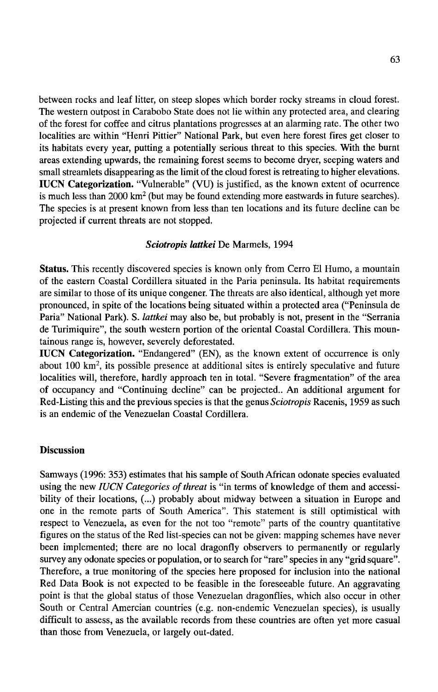between rocks and leaf litter, on steep slopes which border rocky streams in cloud forest. The western outpost in Carabobo State does not lie within any protected area, and clearing of the forest for coffee and citrus plantations progresses at an alarming rate. The other two localities are within "Henri Pittier" National Park, but even here forest fires get closer to its habitats every year, putting a potentially serious threat to this species. With the burnt areas extending upwards, the remaining forest seems to become dryer, seeping waters and small streamlets disappearing as the limit of the cloud forest is retreating to higher elevations. IUCN Categorization. "Vulnerable" (VU) is justified, as the known extent of ocurrence is much less than 2000 km2 (but may be found extending more eastwards in future searches). The species is at present known from less than ten locations and its future decline can be projected if current threats are not stopped.

#### *Sciotropis lattkei* De Marmels, 1994

Status. This recently discovered species is known only from Cerro El Humo, a mountain of the eastern Coastal Cordillera situated in the Paria peninsula. Its habitat requirements are similar to those of its unique congener. The threats are also identical, although yet more pronounced, in spite of the locations being situated within a protected area ("Peninsula de Paria" National Park). S. *lattkei* may also be, but probably is not, present in the "Serrania de Turimiquire", the south western portion of the oriental Coastal Cordillera. This mountainous range is, however, severely deforestated.

IUCN Categorization. "Endangered" (EN), as the known extent of occurrence is only about  $100 \text{ km}^2$ , its possible presence at additional sites is entirely speculative and future localities will, therefore, hardly approach ten in total. "Severe fragmentation" of the area of occupancy and "Continuing decline" can be projected .. An additional argument for Red-Listing this and the previous species is that the genus *Sciotropis* Racenis, 1959 as such is an endemic of the Venezuelan Coastal Cordillera.

#### **Discussion**

Samways (1996: 353) estimates that his sample of South African odonate species evaluated using the new *IUCN Categories of threat* is "in terms of knowledge of them and accessibility of their locations,  $(...)$  probably about midway between a situation in Europe and one in the remote parts of South America". This statement is still optimistical with respect to Venezuela, as even for the not too "remote" parts of the country quantitative figures on the status of the Red list-species can not be given: mapping schemes have never been implemented; there are no local dragonfly observers to permanently or regularly survey any odonate species or population, or to search for "rare" species in any "grid square". Therefore, a true monitoring of the species here proposed for inclusion into the national Red Data Book is not expected to be feasible in the foreseeable future. An aggravating point is that the global status of those Venezuelan dragonflies, which also occur in other South or Central Amercian countries (e.g. non-endemic Venezuelan species), is usually difficult to assess, as the available records from these countries are often yet more casual than those from Venezuela, or largely out-dated.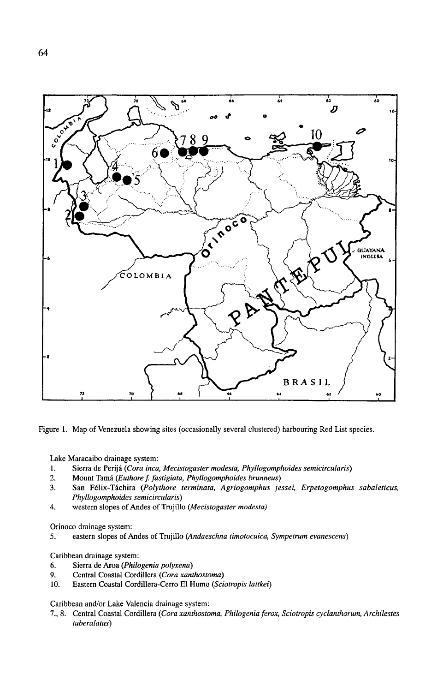

Figure 1. Map of Venezuela showing sites (occasionally several clustered) harbouring Red List species.

Lake Maracaibo drainage system:

- 1. Sierra de Perija *(Cora inca, Mecistogaster modesta, Phyllogomphoides semicircularis)*
- 2. Mount Tamá *(Euthore f. fastigiata, Phyllogomphoides brunneus)*<br>3. San Félix-Táchira *(Polythore terminata, Agriogomphus je.*
- 3. San Felix-Tach ira *(Polythore terminata, Agriogomphus jessei, Erpetogomphus sabaleticus, Phyllogomphoides semicircularis)*
- 4. western slopes of Andes of Trujillo *(Mecistogaster modesta)*

Orinoco drainage system:

5. eastern slopes of Andes of Trujillo *(Andaeschna timotocuica, Sympetrum evanescens)* 

Caribbean drainage system:

- 6. Sierra de Aroa *(Philogenia polyxena)*
- 9. Central Coastal Cordillera *(Cora xanthostoma)*
- 10. Eastern Coastal Cordillera-Cerro El Humo *(Sciotropis lattkei)*

Caribbean and/or Lake Valencia drainage system:

7., 8. Central Coastal Cordillera *(Cora xanthostoma, Philogenia ferox, Sciotropis cyclanthorum, Archilestes tuberalatus)*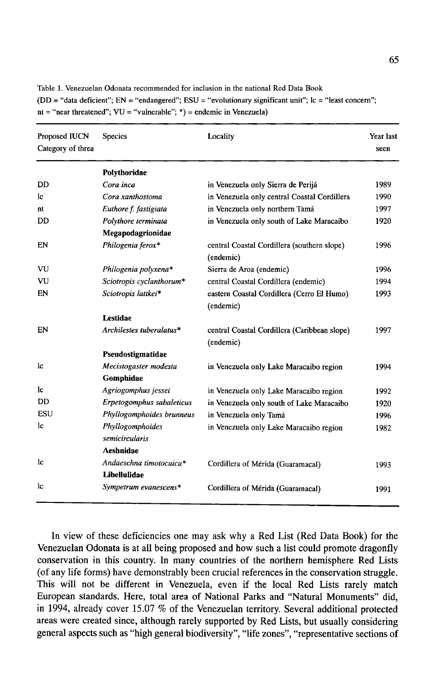| Proposed IUCN<br>Category of threa | <b>Species</b>                                  | Locality                                                  | Year last<br>seen |
|------------------------------------|-------------------------------------------------|-----------------------------------------------------------|-------------------|
|                                    | Polythoridae                                    |                                                           |                   |
| DD                                 | Cora inca                                       | in Venezuela only Sierra de Perijá                        | 1989              |
| lc                                 | Cora xanthostoma                                | in Venezuela only central Coastal Cordillera              | 1990              |
| nt                                 | Euthore f. fastigiata                           | in Venezuela only northern Tamá                           | 1997              |
| DD                                 | Polythore terminata                             | in Venezuela only south of Lake Maracaibo                 | 1920              |
|                                    | Megapodagrionidae                               |                                                           |                   |
| EN                                 | Philogenia ferox*                               | central Coastal Cordillera (southern slope)<br>(endemic)  | 1996              |
| VU                                 | Philogenia polyxena*                            | Sierra de Aroa (endemic)                                  | 1996              |
| VU                                 | Sciotropis cyclanthorum*                        | central Coastal Cordillera (endemic)                      | 1994              |
| EN                                 | Sciotropis lattkei*                             | eastern Coastal Cordillera (Cerro El Humo)<br>(endemic)   | 1993              |
|                                    | Lestidae                                        |                                                           |                   |
| EN                                 | Archilestes tuberalatus*                        | central Coastal Cordillera (Caribbean slope)<br>(endemic) | 1997              |
|                                    | Pseudostigmatidae                               |                                                           |                   |
| lc                                 | Mecistogaster modesta<br>Gomphidae              | in Venezuela only Lake Maracaibo region                   | 1994              |
| lc                                 | Agriogomphus jessei                             | in Venezuela only Lake Maracaibo region                   | 1992              |
| DD                                 | Erpetogomphus sabaleticus                       | in Venezuela only south of Lake Maracaibo                 | 1920              |
| <b>ESU</b>                         | Phyllogomphoides brunneus                       | in Venezuela only Tamá                                    | 1996              |
| lc                                 | Phyllogomphoides<br>semicircularis<br>Aeshnidae | in Venezuela only Lake Maracaibo region                   | 1982              |
| $\mathbf{c}$                       |                                                 |                                                           |                   |
|                                    | Andaeschna timotocuica*<br><b>Libellulidae</b>  | Cordillera of Mérida (Guaramacal)                         | 1993              |
| lc                                 | Sympetrum evanescens*                           | Cordillera of Mérida (Guaramacal)                         | 1991              |

Table 1. Venezuelan Odonata recommended for inclusion in the national Red Data Book (DD = "data deficient"; EN = "endangered"; ESU = "evolutionary significant unit"; lc = "least concern"; nt = "near threatened";  $VU =$  "vulnerable"; \*) = endemic in Venezuela)

In view of these deficiencies one may ask why a Red List (Red Data Book) for the Venezuelan Odonata is at all being proposed and how such a list could promote dragonfly conservation in this country. In many countries of the northern hemisphere Red Lists (of any life forms) have demonstrably been crucial references in the conservation struggle. This will not be different in Venezuela, even if the local Red Lists rarely match European standards. Here, total area of National Parks and "Natural Monuments" did, in 1994, already cover 15.07 % of the Venezuelan territory. Several additional protected areas were created since, although rarely supported by Red Lists, but usually considering general aspects such as "high general biodiversity", "life zones", "representative sections of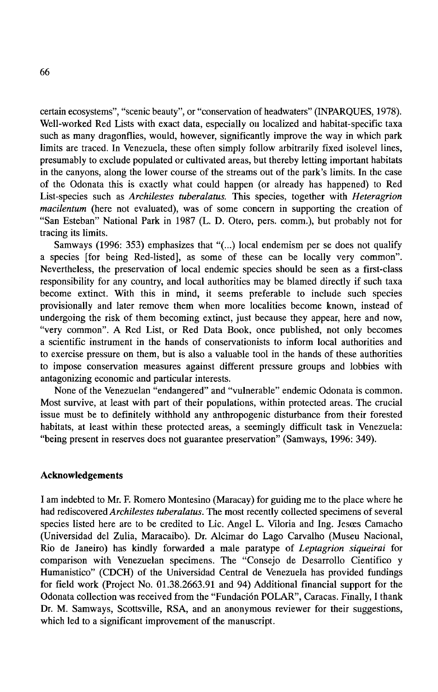certain ecosystems", "scenic beauty", or "conservation of headwaters" (INPARQUES, 1978). Well-worked Red Lists with exact data, especially on localized and habitat-specific taxa such as many dragonflies, would, however, significantly improve the way in which park limits are traced. In Venezuela, these often simply follow arbitrarily fixed isolevel lines, presumably to exclude populated or cultivated areas, but thereby letting important habitats in the canyons, along the lower course of the streams out of the park's limits. In the case of the Odonata this is exactly what could happen (or already has happened) to Red List-species such as *Archilestes tuberalatus.* This species, together with *Heteragrion macilentum* (here not evaluated), was of some concern in supporting the creation of "San Esteban" National Park in 1987 (L. D. Otero, pers. comm.), but probably not for tracing its limits.

Samways (1996: 353) emphasizes that "(...) local endemism per se does not qualify a species [for being Red-listed], as some of these can be locally very common". Nevertheless, the preservation of local endemic species should be seen as a first-class responsibility for any country, and local authorities may be blamed directly if such taxa become extinct. With this in mind, it seems preferable to include such species provisionally and later remove them when more localities become known, instead of undergoing the risk of them becoming extinct, just because they appear, here and now, "very common". A Red List, or Red Data Book, once published, not only becomes a scientific instrument in the hands of conservationists to inform local authorities and to exercise pressure on them, but is also a valuable tool in the hands of these authorities to impose conservation measures against different pressure groups and lobbies with antagonizing economic and particular interests.

None of the Venezuelan "endangered" and "vulnerable" endemic Odonata is common. Most survive, at least with part of their populations, within protected areas. The crucial issue must be to definitely withhold any anthropogenic disturbance from their forested habitats, at least within these protected areas, a seemingly difficult task in Venezuela: "being present in reserves does not guarantee preservation" (Samways, 1996: 349).

#### **Acknowledgements**

I am indebted to Mr. F. Romero Montesino (Maracay) for guiding me to the place where he had *rediscovered Archilestes tuberalatus*. The most recently collected specimens of several species listed here are to be credited to Lic. Angel L. Viloria and Ing. Jesœs Camacho (Universidad del Zulia, Maracaibo). Dr. Alcimar do Lago Carvalho (Museu Nacional, Rio de Janeiro) has kindly forwarded a male paratype of *Leptagrion siqueirai* for comparison with Venezuelan specimens. The "Consejo de Desarrollo Cientifico y Humanistico" (CDCH) of the Universidad Central de Venezuela has provided fundings for field work (Project No. 01.38.2663.91 and 94) Additional financial support for the Odonata collection was received from the "Fundaci6n POLAR", Caracas. Finally, I thank Dr. M. Samways, Scottsville, RSA, and an anonymous reviewer for their suggestions, which led to a significant improvement of the manuscript.